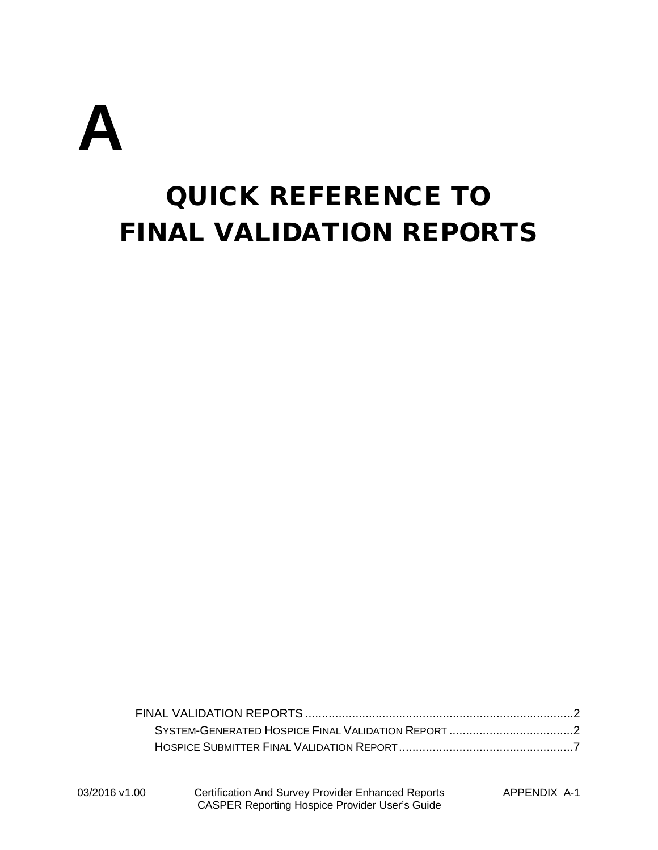

# QUICK REFERENCE TO FINAL VALIDATION REPORTS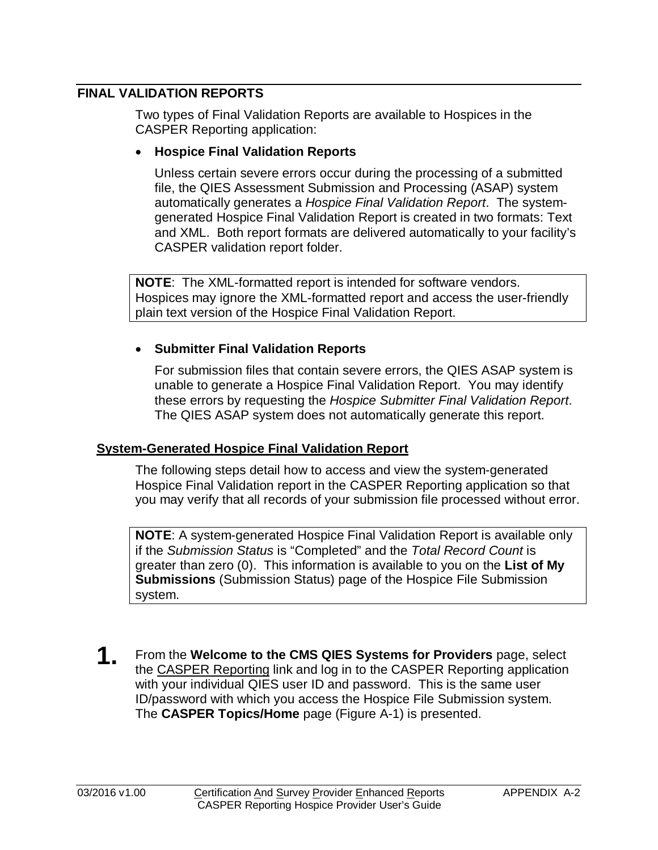# <span id="page-1-0"></span>**FINAL VALIDATION REPORTS**

Two types of Final Validation Reports are available to Hospices in the CASPER Reporting application:

#### • **Hospice Final Validation Reports**

Unless certain severe errors occur during the processing of a submitted file, the QIES Assessment Submission and Processing (ASAP) system automatically generates a *Hospice Final Validation Report*. The systemgenerated Hospice Final Validation Report is created in two formats: Text and XML. Both report formats are delivered automatically to your facility's CASPER validation report folder.

**NOTE**: The XML-formatted report is intended for software vendors. Hospices may ignore the XML-formatted report and access the user-friendly plain text version of the Hospice Final Validation Report.

# • **Submitter Final Validation Reports**

For submission files that contain severe errors, the QIES ASAP system is unable to generate a Hospice Final Validation Report. You may identify these errors by requesting the *Hospice Submitter Final Validation Report*. The QIES ASAP system does not automatically generate this report.

# <span id="page-1-1"></span>**System-Generated Hospice Final Validation Report**

The following steps detail how to access and view the system-generated Hospice Final Validation report in the CASPER Reporting application so that you may verify that all records of your submission file processed without error.

**NOTE**: A system-generated Hospice Final Validation Report is available only if the *Submission Status* is "Completed" and the *Total Record Count* is greater than zero (0). This information is available to you on the **List of My Submissions** (Submission Status) page of the Hospice File Submission system.

**1.** From the **Welcome to the CMS QIES Systems for Providers** page, select the CASPER Reporting link and log in to the CASPER Reporting application with your individual QIES user ID and password. This is the same user ID/password with which you access the Hospice File Submission system. The **CASPER Topics/Home** page (Figure A-1) is presented.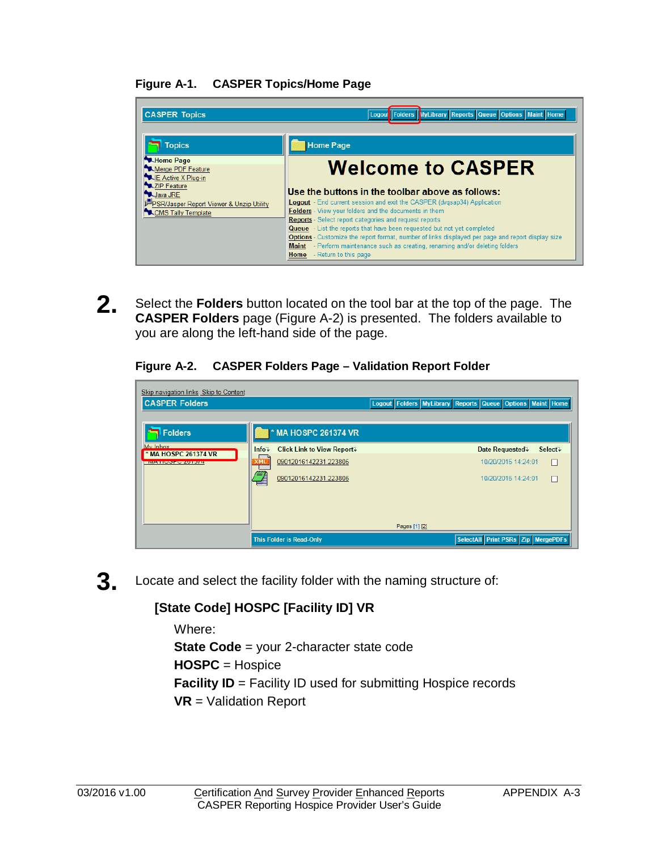# **Figure A-1. CASPER Topics/Home Page**

| <b>CASPER Topics</b>                                                          | Logout Folders NyLibrary Reports Queue Options Maint Home                                                                                                                                                                       |
|-------------------------------------------------------------------------------|---------------------------------------------------------------------------------------------------------------------------------------------------------------------------------------------------------------------------------|
| <b>Topics</b>                                                                 | <b>Home Page</b>                                                                                                                                                                                                                |
| <b>MA</b> Home Page<br>Merge PDF Feature<br><b>NE Active X Plug-in</b>        | <b>Welcome to CASPER</b>                                                                                                                                                                                                        |
| XZIP Feature<br><b>W.Java JRE</b><br>PSR/Jasper Report Viewer & Unzip Utility | Use the buttons in the toolbar above as follows:<br><b>Logout</b> - End current session and exit the CASPER (dvgsap34) Application                                                                                              |
| CMS Tally Template                                                            | Folders - View your folders and the documents in them<br><b>Reports</b> - Select report categories and request reports<br>Queue - List the reports that have been requested but not yet completed                               |
|                                                                               | <b>Options</b> - Customize the report format, number of links displayed per page and report display size<br>Maint - Perform maintenance such as creating, renaming and/or deleting folders<br><b>Home</b> - Return to this page |

**2.** Select the **Folders** button located on the tool bar at the top of the page. The **CASPER Folders** page (Figure A-2) is presented. The folders available to you are along the left-hand side of the page.

#### **Figure A-2. CASPER Folders Page – Validation Report Folder**

| Skip navigation links Skip to Content<br><b>CASPER Folders</b> |                                             | Logout Folders MyLibrary Reports Queue Options Maint Home |
|----------------------------------------------------------------|---------------------------------------------|-----------------------------------------------------------|
| Folders                                                        | <b>MA HOSPC 261374 VR</b>                   |                                                           |
| My Inhox<br>* MA HOSPC 261374 VR                               | <b>Click Link to View Report</b><br>$Info+$ | Date Requested +<br>Select+                               |
| <b>IVIA LIUOPU ZUTJI4</b>                                      | 09012016142231.223805<br>XML                | 10/20/2015 14:24:01<br>E                                  |
|                                                                | 09012016142231.223805                       | 10/20/2015 14:24:01<br>H                                  |
|                                                                |                                             |                                                           |
|                                                                |                                             | Pages [1] [2]                                             |
|                                                                | <b>This Folder is Read-Only</b>             | SelectAll Print PSRs Zip MergePDFs                        |

**3.** Locate and select the facility folder with the naming structure of:

# **[State Code] HOSPC [Facility ID] VR**

Where: **State Code** = your 2-character state code **HOSPC** = Hospice **Facility ID** = Facility ID used for submitting Hospice records **VR** = Validation Report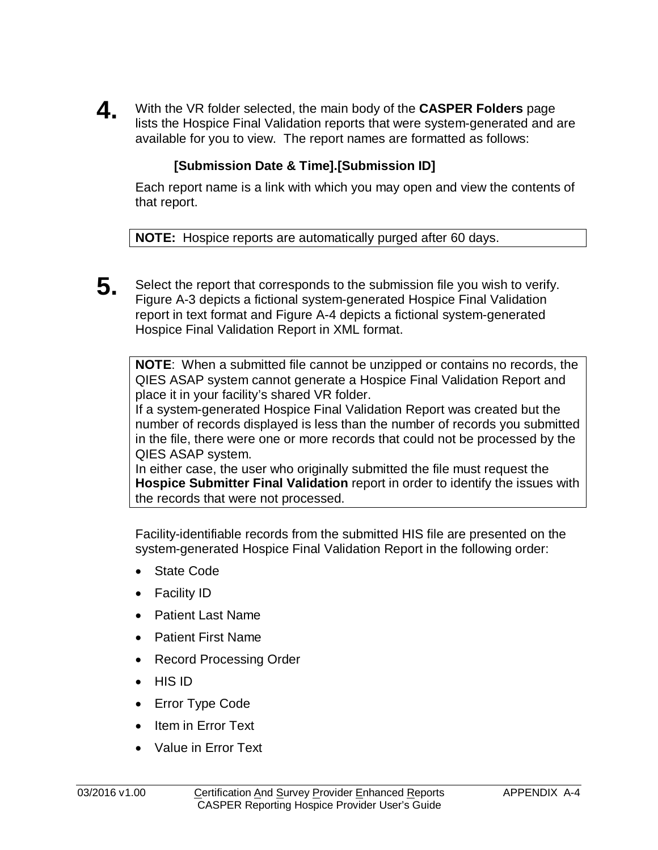**4.** With the VR folder selected, the main body of the **CASPER Folders** page lists the Hospice Final Validation reports that were system-generated and are available for you to view. The report names are formatted as follows:

# **[Submission Date & Time].[Submission ID]**

Each report name is a link with which you may open and view the contents of that report.

**NOTE:** Hospice reports are automatically purged after 60 days.

**5.** Select the report that corresponds to the submission file you wish to verify. Figure A-3 depicts a fictional system-generated Hospice Final Validation report in text format and Figure A-4 depicts a fictional system-generated Hospice Final Validation Report in XML format.

**NOTE**: When a submitted file cannot be unzipped or contains no records, the QIES ASAP system cannot generate a Hospice Final Validation Report and place it in your facility's shared VR folder.

If a system-generated Hospice Final Validation Report was created but the number of records displayed is less than the number of records you submitted in the file, there were one or more records that could not be processed by the QIES ASAP system.

In either case, the user who originally submitted the file must request the **Hospice Submitter Final Validation** report in order to identify the issues with the records that were not processed.

Facility-identifiable records from the submitted HIS file are presented on the system-generated Hospice Final Validation Report in the following order:

- State Code
- Facility ID
- Patient Last Name
- Patient First Name
- Record Processing Order
- HIS ID
- Error Type Code
- Item in Error Text
- Value in Error Text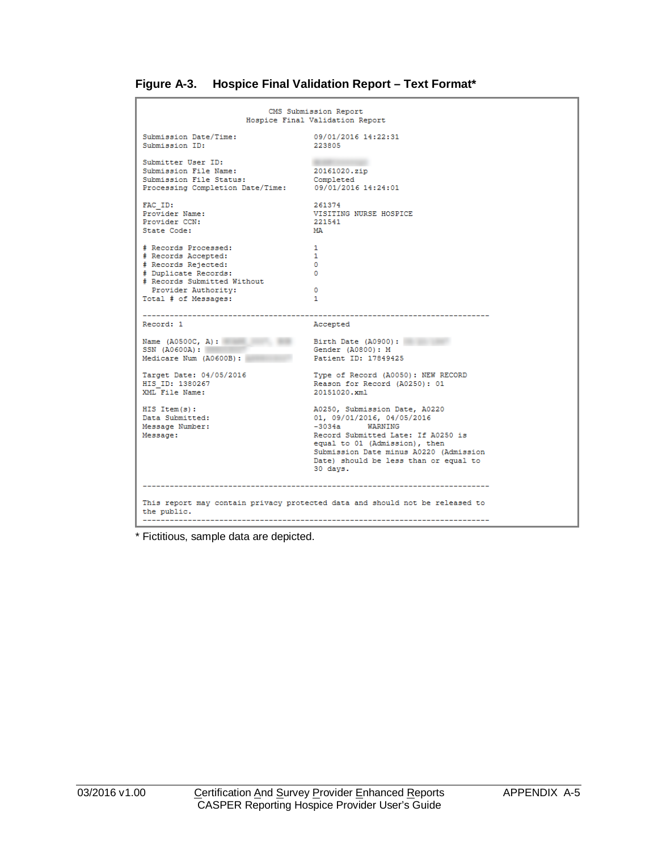| Figure A-3. | <b>Hospice Final Validation Report - Text Format*</b> |  |  |
|-------------|-------------------------------------------------------|--|--|
|             |                                                       |  |  |

|                                                                                                                                                                          | CMS Submission Report<br>Hospice Final Validation Report                                                                                                                                                                                              |
|--------------------------------------------------------------------------------------------------------------------------------------------------------------------------|-------------------------------------------------------------------------------------------------------------------------------------------------------------------------------------------------------------------------------------------------------|
| Submission Date/Time:<br>Submission ID:                                                                                                                                  | 09/01/2016 14:22:31<br>223805                                                                                                                                                                                                                         |
| Submitter User ID:<br>Submission File Name:<br>Submission File Status:<br>Processing Completion Date/Time: 09/01/2016 14:24:01                                           | 20161020.zip<br>Completed                                                                                                                                                                                                                             |
| FAC ID:<br>Provider Name:<br>Provider CCN:<br>State Code:                                                                                                                | 261374<br>VISITING NURSE HOSPICE<br>221541<br>MA                                                                                                                                                                                                      |
| # Records Processed:<br># Records Accepted:<br># Records Rejected:<br># Duplicate Records:<br># Records Submitted Without<br>Provider Authority:<br>Total # of Messages: | $\mathbf{1}$<br>$\mathbf{1}$<br>$\Omega$<br>$\Omega$<br>$\circ$<br>$\mathbf{1}$                                                                                                                                                                       |
| Record: 1                                                                                                                                                                | Accepted                                                                                                                                                                                                                                              |
| Name $(A0500C, A):$<br>$SSN$ (A0600A):<br>Medicare Num (A0600B):                                                                                                         | Birth Date (A0900):<br>Gender (A0800): M<br>Patient ID: 17849425                                                                                                                                                                                      |
| Target Date: 04/05/2016<br>HIS ID: 1380267<br>XML File Name:                                                                                                             | Type of Record (A0050): NEW RECORD<br>Reason for Record (A0250): 01<br>20151020.xml                                                                                                                                                                   |
| $HIS$ Item $(s)$ :<br>Data Submitted:<br>Message Number:<br>Message:                                                                                                     | A0250, Submission Date, A0220<br>01, 09/01/2016, 04/05/2016<br>$-3034a$ WARNING<br>Record Submitted Late: If A0250 is<br>equal to 01 (Admission), then<br>Submission Date minus A0220 (Admission<br>Date) should be less than or equal to<br>30 days. |
| the public.                                                                                                                                                              | This report may contain privacy protected data and should not be released to                                                                                                                                                                          |

\* Fictitious, sample data are depicted.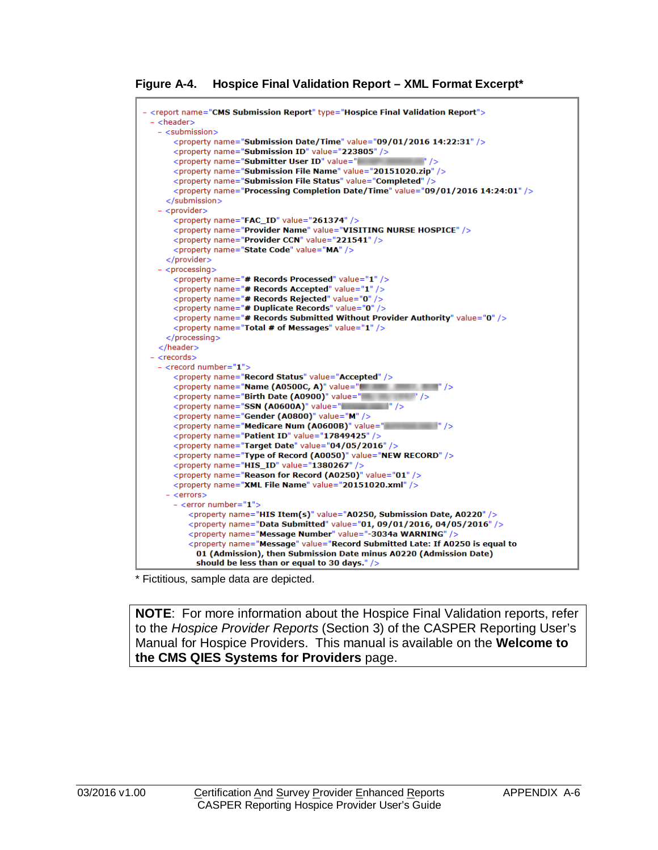**Figure A-4. Hospice Final Validation Report – XML Format Excerpt\***

```
- <report name="CMS Submission Report" type="Hospice Final Validation Report">
- <header>
  - \leqsubmission\geq<property name="Submission Date/Time" value="09/01/2016 14:22:31" />
     <property name="Submission ID" value="223805" />
     <property name="Submitter User ID" value="
     <property name="Submission File Status" value="Completed" />
     <property name="Processing Completion Date/Time" value="09/01/2016 14:24:01" />
    \epsilon/submission\epsilon- <provider>
     <property name="FAC_ID" value="261374" />
     <property name="Provider Name" value="VISITING NURSE HOSPICE" />
     <property name="Provider CCN" value="221541" />
     <property name="State Code" value="MA" />
    </provider>
  - <processing>
     <property name="# Records Processed" value="1" />
     <property name="# Records Accepted" value="1" />
     <property name="# Records Rejected" value="0" />
     <property name="# Duplicate Records" value="0" />
     <property name="# Records Submitted Without Provider Authority" value="0" />
     <property name="Total # of Messages" value="1" />
    </processing>
  </header>
- <records>
  - <record number="1">
     <property name="Record Status" value="Accepted" />
     \langle property name="Name (A0500C, A)" value="\langle /><br>\langle property name="Birth Date (A0900)" value="\langle />
     <property name="SSN (A0600A)" value="
     <property name="Gender (A0800)" value="M" />
     <property name="Medicare Num (A0600B)" value="
     <property name="Patient ID" value="17849425" />
     <property name="Target Date" value="04/05/2016" />
     <property name="Type of Record (A0050)" value="NEW RECORD" />
     <property name="HIS_ID" value="1380267" />
     <property name="Reason for Record (A0250)" value="01" />
     <property name="XML File Name" value="20151020.xml" />
    - <errors>
     - <error number="1":
         <property name="HIS Item(s)" value="A0250, Submission Date, A0220" />
         <property name="Data Submitted" value="01, 09/01/2016, 04/05/2016" />
         <property name="Message Number" value="-3034a WARNING" />
         <property name="Message" value="Record Submitted Late: If A0250 is equal to
          01 (Admission), then Submission Date minus A0220 (Admission Date)
          should be less than or equal to 30 days." />
```
\* Fictitious, sample data are depicted.

**NOTE**: For more information about the Hospice Final Validation reports, refer to the *Hospice Provider Reports* (Section 3) of the CASPER Reporting User's Manual for Hospice Providers. This manual is available on the **Welcome to the CMS QIES Systems for Providers** page.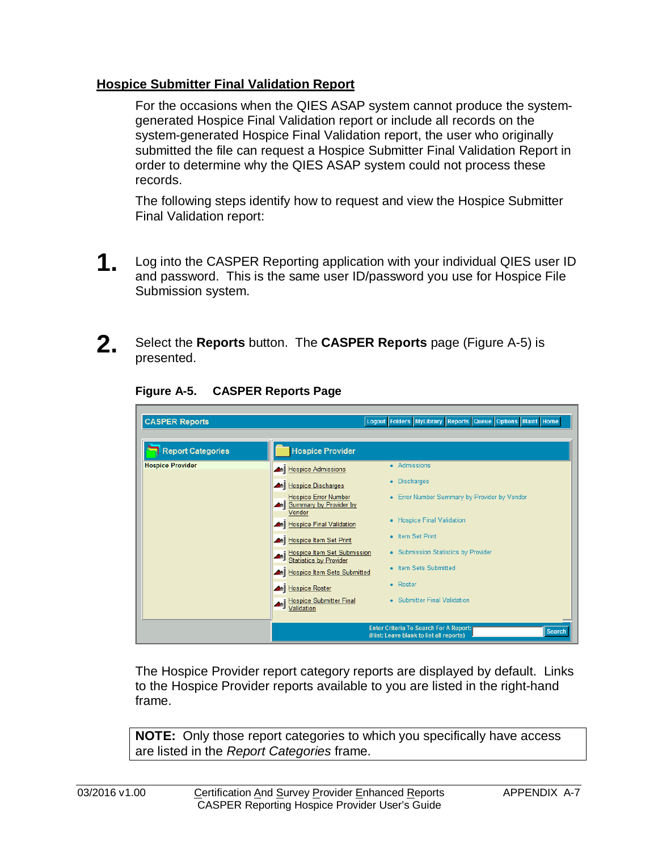# <span id="page-6-0"></span>**Hospice Submitter Final Validation Report**

For the occasions when the QIES ASAP system cannot produce the systemgenerated Hospice Final Validation report or include all records on the system-generated Hospice Final Validation report, the user who originally submitted the file can request a Hospice Submitter Final Validation Report in order to determine why the QIES ASAP system could not process these records.

The following steps identify how to request and view the Hospice Submitter Final Validation report:

- **1.** Log into the CASPER Reporting application with your individual QIES user ID and password. This is the same user ID/password you use for Hospice File Submission system.
- **2.** Select the **Reports** button. The **CASPER Reports** page (Figure A-5) is presented.

| <b>CASPER Reports</b>    |                                                                                                    | Logout Folders MyLibrary Reports Queue Options Maint Home |  |
|--------------------------|----------------------------------------------------------------------------------------------------|-----------------------------------------------------------|--|
| <b>Report Categories</b> | <b>Hospice Provider</b>                                                                            |                                                           |  |
| <b>Hospice Provider</b>  | Hospice Admissions                                                                                 | • Admissions                                              |  |
|                          | Hospice Discharges                                                                                 | • Discharges                                              |  |
|                          | <b>Hospice Error Number</b><br>Summary by Provider by<br>Vendor                                    | • Error Number Summary by Provider by Vendor              |  |
|                          | Hospice Final Validation                                                                           | • Hospice Final Validation                                |  |
|                          | Hospice Item Set Print                                                                             | • Item Set Print                                          |  |
|                          | Hospice Item Set Submission<br>Statistics by Provider<br>۵Ñ                                        | • Submission Statistics by Provider                       |  |
|                          | Hospice Item Sets Submitted                                                                        | • Item Sets Submitted                                     |  |
|                          | Hospice Roster                                                                                     | • Roster                                                  |  |
|                          | <b>Hospice Submitter Final</b><br>Validation                                                       | • Submitter Final Validation                              |  |
|                          | <b>Enter Criteria To Search For A Report:</b><br>Search<br>(Hint: Leave blank to list all reports) |                                                           |  |

**Figure A-5. CASPER Reports Page**

The Hospice Provider report category reports are displayed by default. Links to the Hospice Provider reports available to you are listed in the right-hand frame.

**NOTE:** Only those report categories to which you specifically have access are listed in the *Report Categories* frame.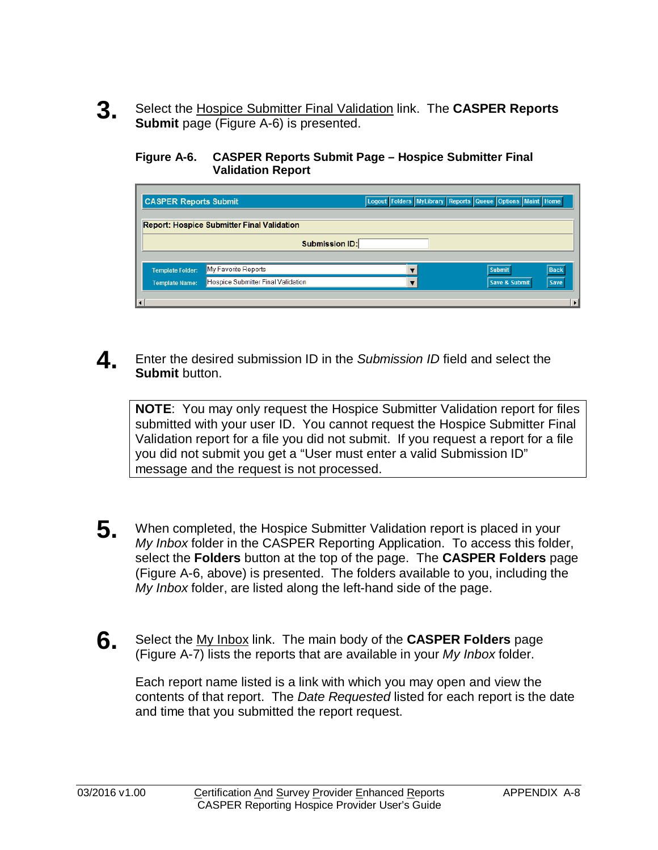**3.** Select the Hospice Submitter Final Validation link. The **CASPER Reports Submit** page (Figure A-6) is presented.

#### **Figure A-6. CASPER Reports Submit Page – Hospice Submitter Final Validation Report**

| <b>CASPER Reports Submit</b> |                                                   | Logout Folders MyLibrary Reports Queue Options Maint Home |               |             |
|------------------------------|---------------------------------------------------|-----------------------------------------------------------|---------------|-------------|
|                              | <b>Report: Hospice Submitter Final Validation</b> |                                                           |               |             |
| <b>Submission ID:</b>        |                                                   |                                                           |               |             |
| <b>Template Folder:</b>      | My Favorite Reports                               |                                                           | <b>Submit</b> | <b>Back</b> |
| <b>Template Name:</b>        | Hospice Submitter Final Validation                |                                                           | Save & Submit | <b>Save</b> |
| $\vert \cdot \vert$          |                                                   |                                                           |               |             |

**4** Enter the desired submission ID in the *Submission ID* field and select the **Submit** button.

**NOTE**: You may only request the Hospice Submitter Validation report for files submitted with your user ID. You cannot request the Hospice Submitter Final Validation report for a file you did not submit. If you request a report for a file you did not submit you get a "User must enter a valid Submission ID" message and the request is not processed.

- **5.** When completed, the Hospice Submitter Validation report is placed in your *My Inbox* folder in the CASPER Reporting Application. To access this folder, select the **Folders** button at the top of the page. The **CASPER Folders** page (Figure A-6, above) is presented. The folders available to you, including the *My Inbox* folder, are listed along the left-hand side of the page.
- **6.** Select the My Inbox link. The main body of the **CASPER Folders** page (Figure A-7) lists the reports that are available in your *My Inbox* folder.

Each report name listed is a link with which you may open and view the contents of that report. The *Date Requested* listed for each report is the date and time that you submitted the report request.